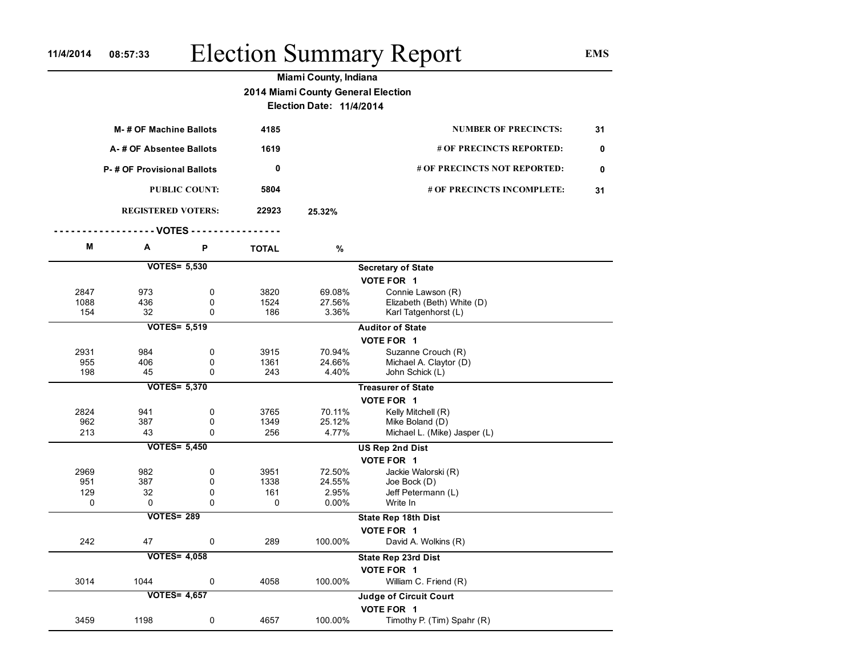## 11/4/2014 08:57:33 Election Summary Report EMS

Election Date: 11/4/2014

| M-# OF Machine Ballots  |                                   |                      | 4185         | <b>NUMBER OF PRECINCTS:</b>           |                            | 31 |
|-------------------------|-----------------------------------|----------------------|--------------|---------------------------------------|----------------------------|----|
| A-# OF Absentee Ballots |                                   |                      | 1619         | # OF PRECINCTS REPORTED:              |                            | 0  |
|                         | <b>P-# OF Provisional Ballots</b> |                      |              | # OF PRECINCTS NOT REPORTED:          |                            |    |
|                         |                                   | <b>PUBLIC COUNT:</b> | 5804         |                                       | # OF PRECINCTS INCOMPLETE: | 31 |
|                         | <b>REGISTERED VOTERS:</b>         |                      | 22923        | 25.32%                                |                            |    |
| --- VOTES ----          |                                   |                      |              |                                       |                            |    |
| Μ                       | Α                                 | P                    | <b>TOTAL</b> | $\%$                                  |                            |    |
|                         | <b>VOTES= 5,530</b>               |                      |              |                                       | <b>Secretary of State</b>  |    |
|                         |                                   |                      |              |                                       | VOTE FOR 1                 |    |
| 2847                    | 973                               | $\mathbf 0$          | 3820         | 69.08%                                | Connie Lawson (R)          |    |
| 1088                    | 436                               | $\mathbf 0$          | 1524         | 27.56%                                | Elizabeth (Beth) White (D) |    |
| 154                     | 32                                | $\Omega$             | 186          | 3.36%                                 | Karl Tatgenhorst (L)       |    |
| <b>VOTES= 5,519</b>     |                                   |                      |              |                                       | <b>Auditor of State</b>    |    |
|                         |                                   |                      |              |                                       | VOTE FOR 1                 |    |
| 2931                    | 984                               | $\mathbf 0$          | 3915         | 70.94%                                | Suzanne Crouch (R)         |    |
| 955                     | 406                               | 0                    | 1361         | 24.66%                                | Michael A. Claytor (D)     |    |
| 198                     | 45                                | $\Omega$             | 243          | 4.40%                                 | John Schick (L)            |    |
| <b>VOTES= 5,370</b>     |                                   |                      |              |                                       | <b>Treasurer of State</b>  |    |
|                         |                                   |                      |              |                                       | VOTE FOR 1                 |    |
| 2824                    | 941                               | 0                    | 3765         | 70.11%                                | Kelly Mitchell (R)         |    |
| 962                     | 387                               | $\mathbf 0$          | 1349         | 25.12%                                | Mike Boland (D)            |    |
| 213                     | 43                                | $\Omega$             | 256          | 4.77%<br>Michael L. (Mike) Jasper (L) |                            |    |
|                         | <b>VOTES= 5,450</b>               |                      |              |                                       | <b>US Rep 2nd Dist</b>     |    |
|                         |                                   |                      |              |                                       | VOTE FOR 1                 |    |
| 2969                    | 982                               | $\mathbf 0$          | 3951         | 72.50%<br>Jackie Walorski (R)         |                            |    |
| 951                     | 387                               | $\mathbf 0$          | 1338         | 24.55%<br>Joe Bock (D)                |                            |    |
| 129                     | 32                                | $\mathbf 0$          | 161          | 2.95%                                 | Jeff Petermann (L)         |    |
| 0                       | 0                                 | $\Omega$             | 0            | $0.00\%$                              | Write In                   |    |
| <b>VOTES= 289</b>       |                                   |                      |              |                                       | <b>State Rep 18th Dist</b> |    |
|                         |                                   |                      |              | VOTE FOR 1                            |                            |    |
| 242                     | 47                                | $\mathbf 0$          | 289          | 100.00%                               | David A. Wolkins (R)       |    |
| <b>VOTES= 4,058</b>     |                                   |                      |              |                                       | State Rep 23rd Dist        |    |
|                         |                                   |                      |              |                                       | VOTE FOR 1                 |    |
| 3014                    | 1044                              | 0                    | 4058         | 100.00%                               | William C. Friend (R)      |    |
| <b>VOTES= 4,657</b>     |                                   |                      |              |                                       | Judge of Circuit Court     |    |
|                         |                                   |                      |              |                                       | VOTE FOR 1                 |    |
| 3459                    | 1198                              | 0                    | 4657         | 100.00%                               | Timothy P. (Tim) Spahr (R) |    |
|                         |                                   |                      |              |                                       |                            |    |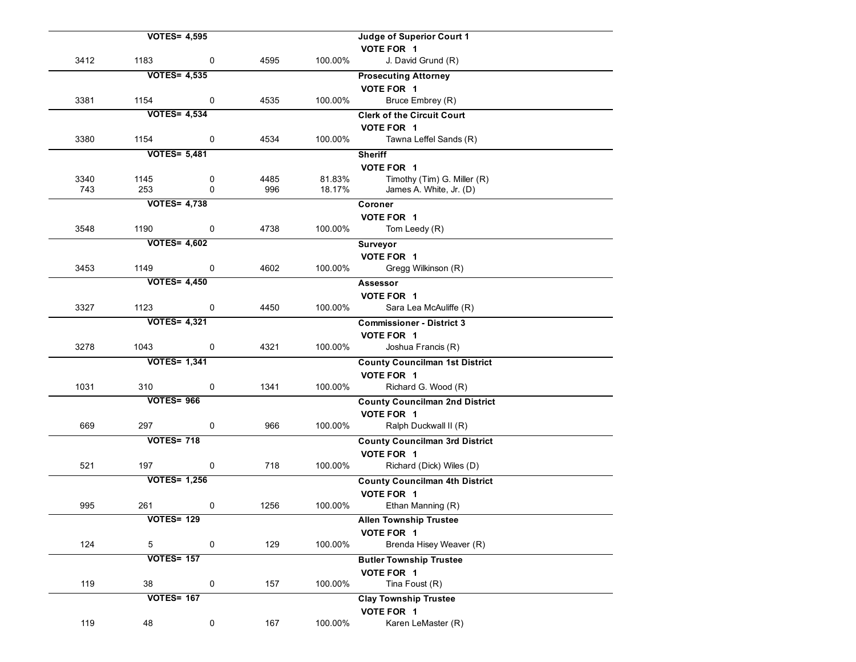|      | <b>VOTES= 4,595</b> |              |      |         | Judge of Superior Court 1             |
|------|---------------------|--------------|------|---------|---------------------------------------|
|      |                     |              |      |         | VOTE FOR 1                            |
| 3412 | 1183                | $\mathsf{O}$ | 4595 | 100.00% | J. David Grund (R)                    |
|      | <b>VOTES= 4,535</b> |              |      |         | <b>Prosecuting Attorney</b>           |
|      |                     |              |      |         | VOTE FOR 1                            |
| 3381 | 1154                | $\mathbf 0$  | 4535 | 100.00% | Bruce Embrey (R)                      |
|      | <b>VOTES= 4,534</b> |              |      |         | <b>Clerk of the Circuit Court</b>     |
|      |                     |              |      |         | VOTE FOR 1                            |
| 3380 | 1154                | 0            | 4534 | 100.00% | Tawna Leffel Sands (R)                |
|      | <b>VOTES= 5,481</b> |              |      |         | <b>Sheriff</b>                        |
|      |                     |              |      |         | VOTE FOR 1                            |
| 3340 | 1145                | 0            | 4485 | 81.83%  | Timothy (Tim) G. Miller (R)           |
| 743  | 253                 | $\Omega$     | 996  | 18.17%  | James A. White, Jr. (D)               |
|      | <b>VOTES= 4,738</b> |              |      |         | Coroner                               |
|      |                     |              |      |         | VOTE FOR 1                            |
| 3548 | 1190                | 0            | 4738 | 100.00% | Tom Leedy (R)                         |
|      | <b>VOTES= 4,602</b> |              |      |         | Surveyor                              |
|      |                     |              |      |         | VOTE FOR 1                            |
| 3453 | 1149                | 0            | 4602 | 100.00% | Gregg Wilkinson (R)                   |
|      | <b>VOTES= 4,450</b> |              |      |         | Assessor                              |
|      |                     |              |      |         | VOTE FOR 1                            |
| 3327 | 1123                | 0            | 4450 | 100.00% | Sara Lea McAuliffe (R)                |
|      | <b>VOTES= 4,321</b> |              |      |         | <b>Commissioner - District 3</b>      |
|      |                     |              |      |         | VOTE FOR 1                            |
| 3278 | 1043                | $\mathbf 0$  | 4321 | 100.00% | Joshua Francis (R)                    |
|      | <b>VOTES= 1,341</b> |              |      |         | <b>County Councilman 1st District</b> |
|      |                     |              |      |         | VOTE FOR 1                            |
| 1031 | 310                 | 0            | 1341 | 100.00% | Richard G. Wood (R)                   |
|      | <b>VOTES= 966</b>   |              |      |         | <b>County Councilman 2nd District</b> |
|      |                     |              |      |         | VOTE FOR 1                            |
| 669  | 297                 | 0            | 966  | 100.00% | Ralph Duckwall II (R)                 |
|      | <b>VOTES= 718</b>   |              |      |         | <b>County Councilman 3rd District</b> |
|      |                     |              |      |         | VOTE FOR 1                            |
| 521  | 197                 | 0            | 718  | 100.00% | Richard (Dick) Wiles (D)              |
|      | <b>VOTES= 1,256</b> |              |      |         | <b>County Councilman 4th District</b> |
|      |                     |              |      |         | VOTE FOR 1                            |
| 995  | 261                 | 0            | 1256 | 100.00% | Ethan Manning (R)                     |
|      | <b>VOTES= 129</b>   |              |      |         | <b>Allen Township Trustee</b>         |
|      |                     |              |      |         | VOTE FOR 1                            |
| 124  | $\overline{5}$      | 0            | 129  | 100.00% | Brenda Hisey Weaver (R)               |
|      | <b>VOTES= 157</b>   |              |      |         | <b>Butler Township Trustee</b>        |
|      |                     |              |      |         | VOTE FOR 1                            |
| 119  | 38                  | 0            | 157  | 100.00% | Tina Foust (R)                        |
|      | <b>VOTES= 167</b>   |              |      |         | <b>Clay Township Trustee</b>          |
|      |                     |              |      |         | VOTE FOR 1                            |
| 119  | 48                  | 0            | 167  | 100.00% | Karen LeMaster (R)                    |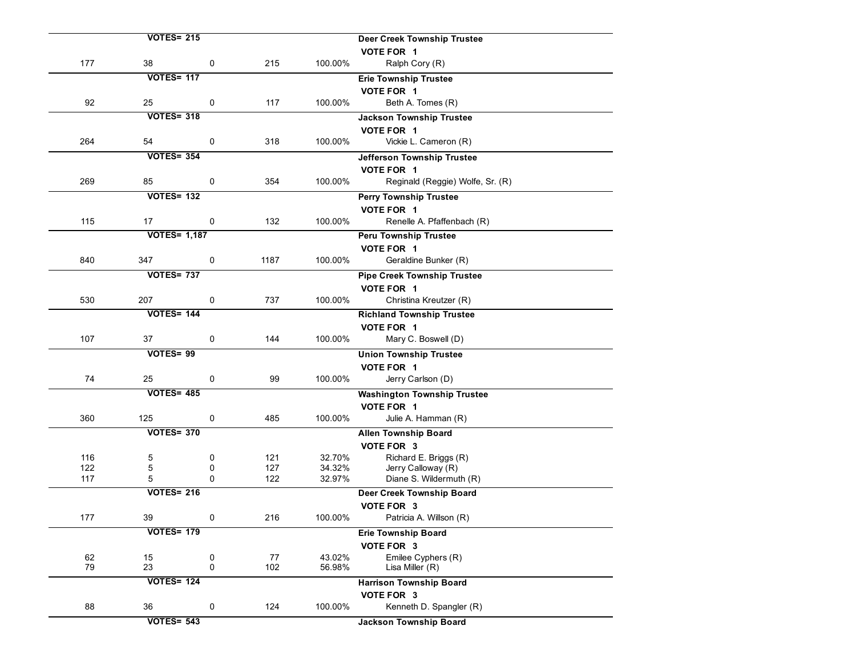|            | <b>VOTES= 215</b>   |             |            |                  | <b>Deer Creek Township Trustee</b>            |
|------------|---------------------|-------------|------------|------------------|-----------------------------------------------|
|            |                     |             |            |                  | VOTE FOR 1                                    |
| 177        | 38                  | 0           | 215        | 100.00%          | Ralph Cory (R)                                |
|            | <b>VOTES= 117</b>   |             |            |                  | <b>Erie Township Trustee</b>                  |
|            |                     |             |            |                  | VOTE FOR 1                                    |
| 92         | 25                  | 0           | 117        | 100.00%          | Beth A. Tomes (R)                             |
|            | <b>VOTES= 318</b>   |             |            |                  | <b>Jackson Township Trustee</b>               |
|            |                     |             |            |                  | VOTE FOR 1                                    |
| 264        | 54                  | 0           | 318        | 100.00%          | Vickie L. Cameron (R)                         |
|            | <b>VOTES= 354</b>   |             |            |                  | Jefferson Township Trustee                    |
|            |                     |             |            |                  | VOTE FOR 1                                    |
| 269        | 85                  | 0           | 354        | 100.00%          | Reginald (Reggie) Wolfe, Sr. (R)              |
|            | <b>VOTES= 132</b>   |             |            |                  | <b>Perry Township Trustee</b>                 |
|            |                     |             |            |                  | VOTE FOR 1                                    |
| 115        | 17                  | 0           | 132        | 100.00%          | Renelle A. Pfaffenbach (R)                    |
|            | <b>VOTES= 1,187</b> |             |            |                  | <b>Peru Township Trustee</b>                  |
|            |                     |             |            |                  | VOTE FOR 1                                    |
| 840        | 347                 | 0           | 1187       | 100.00%          | Geraldine Bunker (R)                          |
|            | <b>VOTES= 737</b>   |             |            |                  | <b>Pipe Creek Township Trustee</b>            |
|            |                     |             |            |                  | VOTE FOR 1                                    |
| 530        | 207                 | 0           | 737        | 100.00%          | Christina Kreutzer (R)                        |
|            | <b>VOTES= 144</b>   |             |            |                  | <b>Richland Township Trustee</b>              |
|            |                     |             |            |                  | VOTE FOR 1                                    |
| 107        | 37                  | 0           | 144        | 100.00%          | Mary C. Boswell (D)                           |
|            | VOTES=99            |             |            |                  | <b>Union Township Trustee</b>                 |
|            |                     |             |            |                  | VOTE FOR 1                                    |
| 74         | 25                  | 0           | 99         | 100.00%          | Jerry Carlson (D)                             |
|            | <b>VOTES= 485</b>   |             |            |                  | <b>Washington Township Trustee</b>            |
|            |                     |             |            |                  | VOTE FOR 1                                    |
| 360        | 125                 | 0           | 485        | 100.00%          | Julie A. Hamman (R)                           |
|            | <b>VOTES= 370</b>   |             |            |                  | <b>Allen Township Board</b>                   |
|            |                     |             |            |                  | VOTE FOR 3                                    |
| 116<br>122 | 5                   | 0           | 121        | 32.70%           | Richard E. Briggs (R)                         |
| 117        | 5<br>5              | 0<br>0      | 127<br>122 | 34.32%<br>32.97% | Jerry Calloway (R)<br>Diane S. Wildermuth (R) |
|            | <b>VOTES= 216</b>   |             |            |                  | Deer Creek Township Board                     |
|            |                     |             |            |                  | VOTE FOR 3                                    |
| 177        | 39                  | 0           | 216        | 100.00%          | Patricia A. Willson (R)                       |
|            | <b>VOTES= 179</b>   |             |            |                  | <b>Erie Township Board</b>                    |
|            |                     |             |            |                  | VOTE FOR 3                                    |
| 62         | 15                  | 0           | 77         | 43.02%           | Emilee Cyphers (R)                            |
| 79         | 23                  | $\mathbf 0$ | 102        | 56.98%           | Lisa Miller (R)                               |
|            | <b>VOTES= 124</b>   |             |            |                  | <b>Harrison Township Board</b>                |
|            |                     |             |            |                  | VOTE FOR 3                                    |
| 88         | 36                  | 0           | 124        | 100.00%          | Kenneth D. Spangler (R)                       |
|            | <b>VOTES= 543</b>   |             |            |                  | <b>Jackson Township Board</b>                 |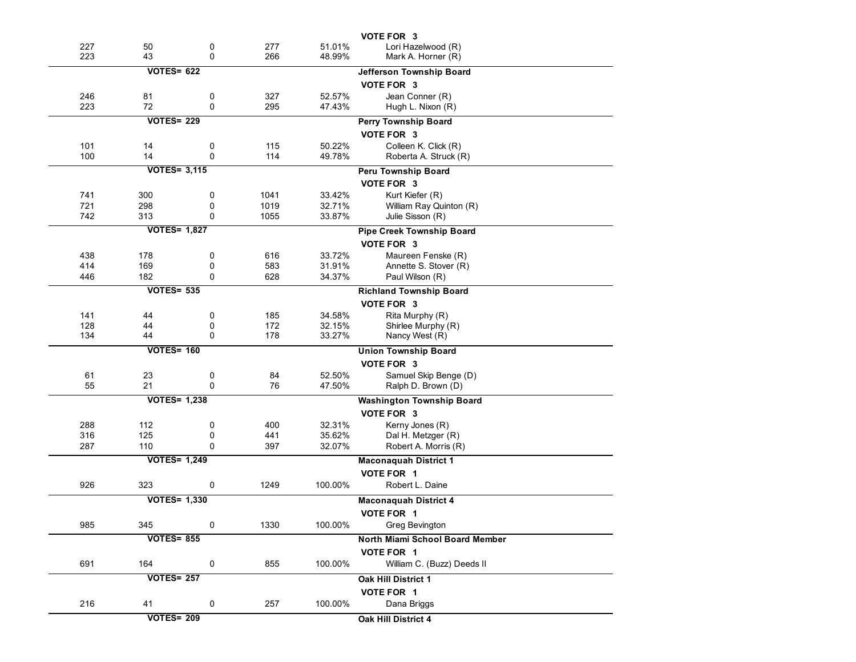|     |                     |             |      |         | VOTE FOR 3                       |
|-----|---------------------|-------------|------|---------|----------------------------------|
| 227 | 50                  | 0           | 277  | 51.01%  | Lori Hazelwood (R)               |
| 223 | 43                  | $\mathbf 0$ | 266  | 48.99%  | Mark A. Horner (R)               |
|     | <b>VOTES= 622</b>   |             |      |         | Jefferson Township Board         |
|     |                     |             |      |         | VOTE FOR 3                       |
| 246 | 81                  | 0           | 327  | 52.57%  | Jean Conner (R)                  |
| 223 | 72                  | $\mathbf 0$ | 295  | 47.43%  | Hugh L. Nixon (R)                |
|     | <b>VOTES= 229</b>   |             |      |         | Perry Township Board             |
|     |                     |             |      |         | VOTE FOR 3                       |
| 101 | 14                  | 0           | 115  | 50.22%  | Colleen K. Click (R)             |
| 100 | 14                  | 0           | 114  | 49.78%  | Roberta A. Struck (R)            |
|     | <b>VOTES= 3,115</b> |             |      |         | Peru Township Board              |
|     |                     |             |      |         | VOTE FOR 3                       |
| 741 | 300                 | 0           | 1041 | 33.42%  | Kurt Kiefer (R)                  |
| 721 | 298                 | 0           | 1019 | 32.71%  | William Ray Quinton (R)          |
| 742 | 313                 | 0           | 1055 | 33.87%  | Julie Sisson (R)                 |
|     | <b>VOTES= 1,827</b> |             |      |         | Pipe Creek Township Board        |
|     |                     |             |      |         | VOTE FOR 3                       |
| 438 | 178                 | 0           | 616  | 33.72%  | Maureen Fenske (R)               |
| 414 | 169                 | 0           | 583  | 31.91%  | Annette S. Stover (R)            |
| 446 | 182                 | $\mathbf 0$ | 628  | 34.37%  | Paul Wilson (R)                  |
|     | <b>VOTES= 535</b>   |             |      |         | <b>Richland Township Board</b>   |
|     |                     |             |      |         | VOTE FOR 3                       |
| 141 | 44                  | 0           | 185  | 34.58%  | Rita Murphy (R)                  |
| 128 | 44                  | 0           | 172  | 32.15%  | Shirlee Murphy (R)               |
| 134 | 44                  | 0           | 178  | 33.27%  | Nancy West (R)                   |
|     | <b>VOTES= 160</b>   |             |      |         | <b>Union Township Board</b>      |
|     |                     |             |      |         | VOTE FOR 3                       |
| 61  | 23                  | 0           | 84   | 52.50%  | Samuel Skip Benge (D)            |
| 55  | 21                  | $\mathbf 0$ | 76   | 47.50%  | Ralph D. Brown (D)               |
|     | <b>VOTES= 1,238</b> |             |      |         | <b>Washington Township Board</b> |
|     |                     |             |      |         | VOTE FOR 3                       |
| 288 | 112                 | 0           | 400  | 32.31%  | Kerny Jones (R)                  |
| 316 | 125                 | 0           | 441  | 35.62%  | Dal H. Metzger (R)               |
| 287 | 110                 | 0           | 397  | 32.07%  | Robert A. Morris (R)             |
|     | <b>VOTES= 1,249</b> |             |      |         | <b>Maconaquah District 1</b>     |
|     |                     |             |      |         | VOTE FOR 1                       |
| 926 | 323                 | 0           | 1249 | 100.00% | Robert L. Daine                  |
|     | <b>VOTES= 1,330</b> |             |      |         | <b>Maconaguah District 4</b>     |
|     |                     |             |      |         | VOTE FOR 1                       |
| 985 | 345                 | 0           | 1330 | 100.00% | Greg Bevington                   |
|     | <b>VOTES= 855</b>   |             |      |         | North Miami School Board Member  |
|     |                     |             |      |         | VOTE FOR 1                       |
| 691 | 164                 | 0           | 855  | 100.00% | William C. (Buzz) Deeds II       |
|     | <b>VOTES= 257</b>   |             |      |         | Oak Hill District 1              |
|     |                     |             |      |         | VOTE FOR 1                       |
| 216 | 41                  | 0           | 257  | 100.00% | Dana Briggs                      |
|     |                     |             |      |         |                                  |
|     | <b>VOTES= 209</b>   |             |      |         | Oak Hill District 4              |
|     |                     |             |      |         |                                  |